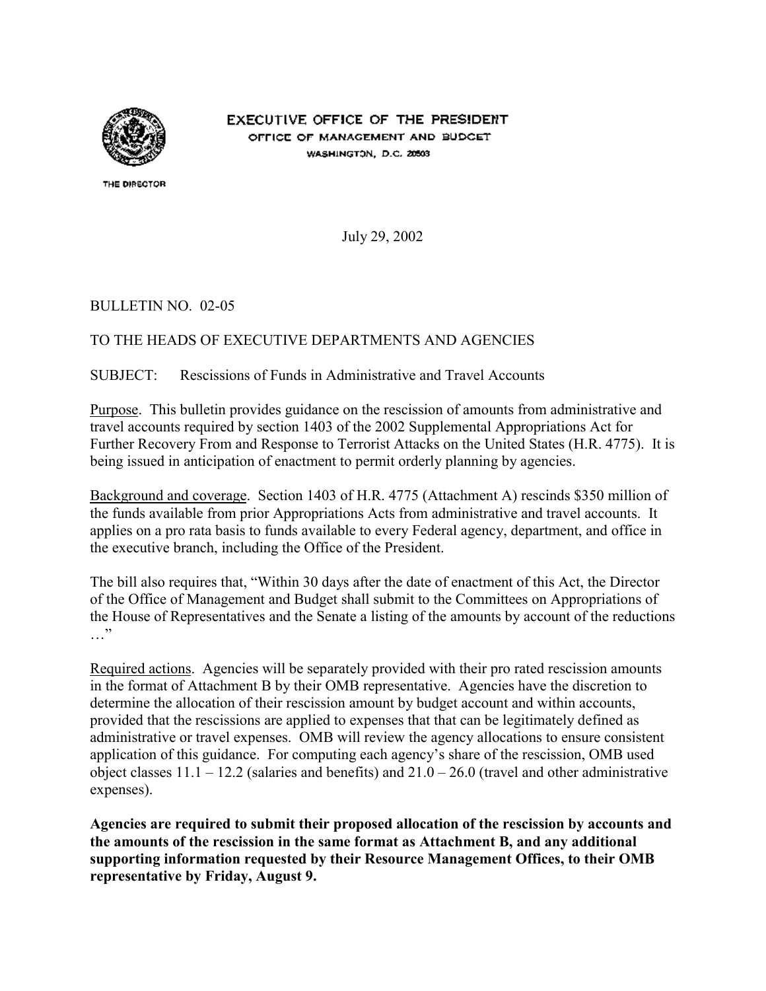

EXECUTIVE OFFICE OF THE PRESIDENT OFFICE OF MANAGEMENT AND BUDGET WASHINGTON, D.C. 20503

THE DIRECTOR

July 29, 2002

### BULLETIN NO. 02-05

### TO THE HEADS OF EXECUTIVE DEPARTMENTS AND AGENCIES

### SUBJECT: Rescissions of Funds in Administrative and Travel Accounts

Purpose. This bulletin provides guidance on the rescission of amounts from administrative and travel accounts required by section 1403 of the 2002 Supplemental Appropriations Act for Further Recovery From and Response to Terrorist Attacks on the United States (H.R. 4775). It is being issued in anticipation of enactment to permit orderly planning by agencies.

Background and coverage. Section 1403 of H.R. 4775 (Attachment A) rescinds \$350 million of the funds available from prior Appropriations Acts from administrative and travel accounts. It applies on a pro rata basis to funds available to every Federal agency, department, and office in the executive branch, including the Office of the President.

The bill also requires that, "Within 30 days after the date of enactment of this Act, the Director of the Office of Management and Budget shall submit to the Committees on Appropriations of the House of Representatives and the Senate a listing of the amounts by account of the reductions  $\cdots$ "

Required actions. Agencies will be separately provided with their pro rated rescission amounts in the format of Attachment B by their OMB representative. Agencies have the discretion to determine the allocation of their rescission amount by budget account and within accounts, provided that the rescissions are applied to expenses that that can be legitimately defined as administrative or travel expenses. OMB will review the agency allocations to ensure consistent application of this guidance. For computing each agency's share of the rescission, OMB used object classes  $11.1 - 12.2$  (salaries and benefits) and  $21.0 - 26.0$  (travel and other administrative expenses).

**Agencies are required to submit their proposed allocation of the rescission by accounts and the amounts of the rescission in the same format as Attachment B, and any additional supporting information requested by their Resource Management Offices, to their OMB representative by Friday, August 9.**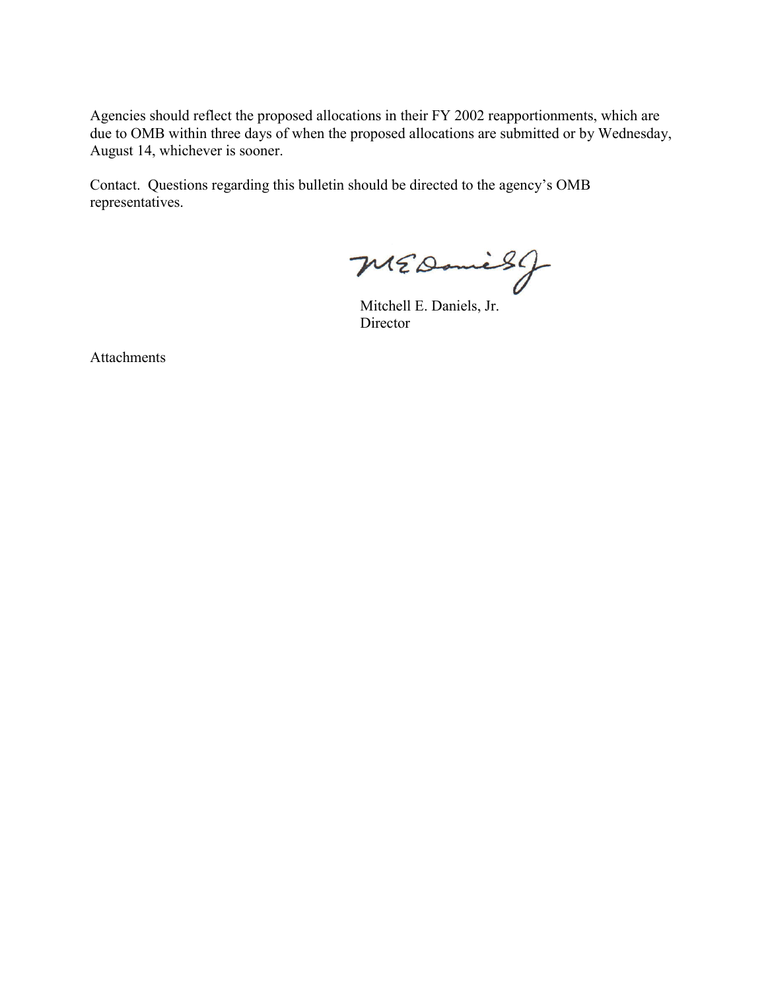Agencies should reflect the proposed allocations in their FY 2002 reapportionments, which are due to OMB within three days of when the proposed allocations are submitted or by Wednesday, August 14, whichever is sooner.

Contact. Questions regarding this bulletin should be directed to the agency's OMB representatives.

MEDanish

Mitchell E. Daniels, Jr. Director

Attachments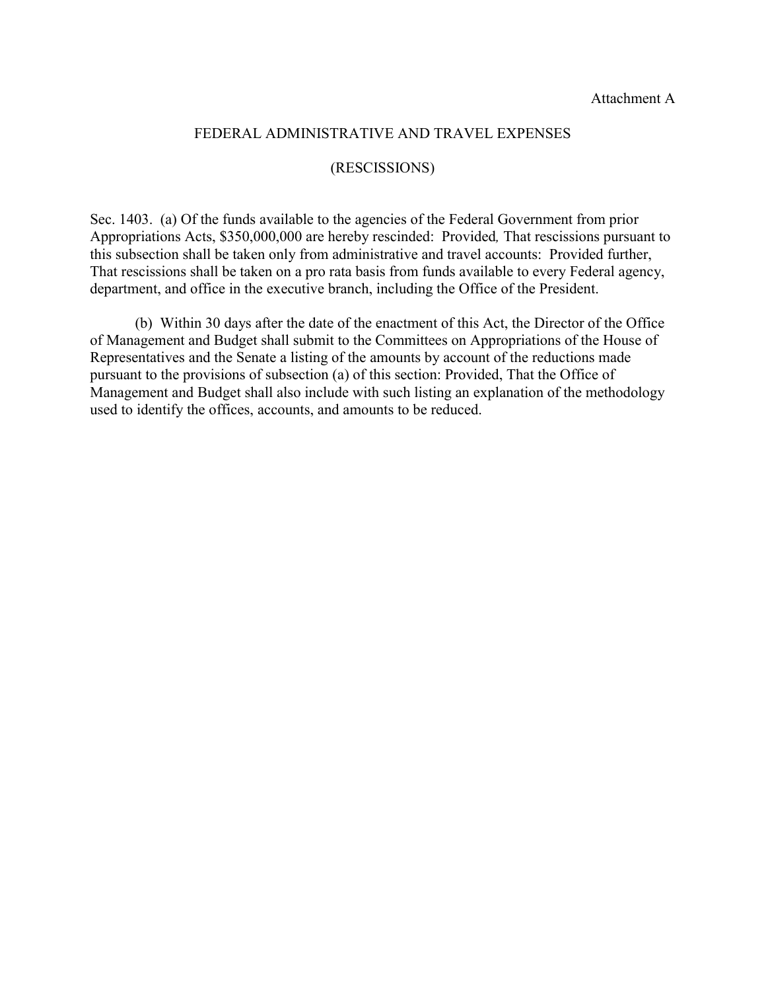### FEDERAL ADMINISTRATIVE AND TRAVEL EXPENSES

### (RESCISSIONS)

Sec. 1403. (a) Of the funds available to the agencies of the Federal Government from prior Appropriations Acts, \$350,000,000 are hereby rescinded: Provided*,* That rescissions pursuant to this subsection shall be taken only from administrative and travel accounts: Provided further, That rescissions shall be taken on a pro rata basis from funds available to every Federal agency, department, and office in the executive branch, including the Office of the President.

(b) Within 30 days after the date of the enactment of this Act, the Director of the Office of Management and Budget shall submit to the Committees on Appropriations of the House of Representatives and the Senate a listing of the amounts by account of the reductions made pursuant to the provisions of subsection (a) of this section: Provided, That the Office of Management and Budget shall also include with such listing an explanation of the methodology used to identify the offices, accounts, and amounts to be reduced.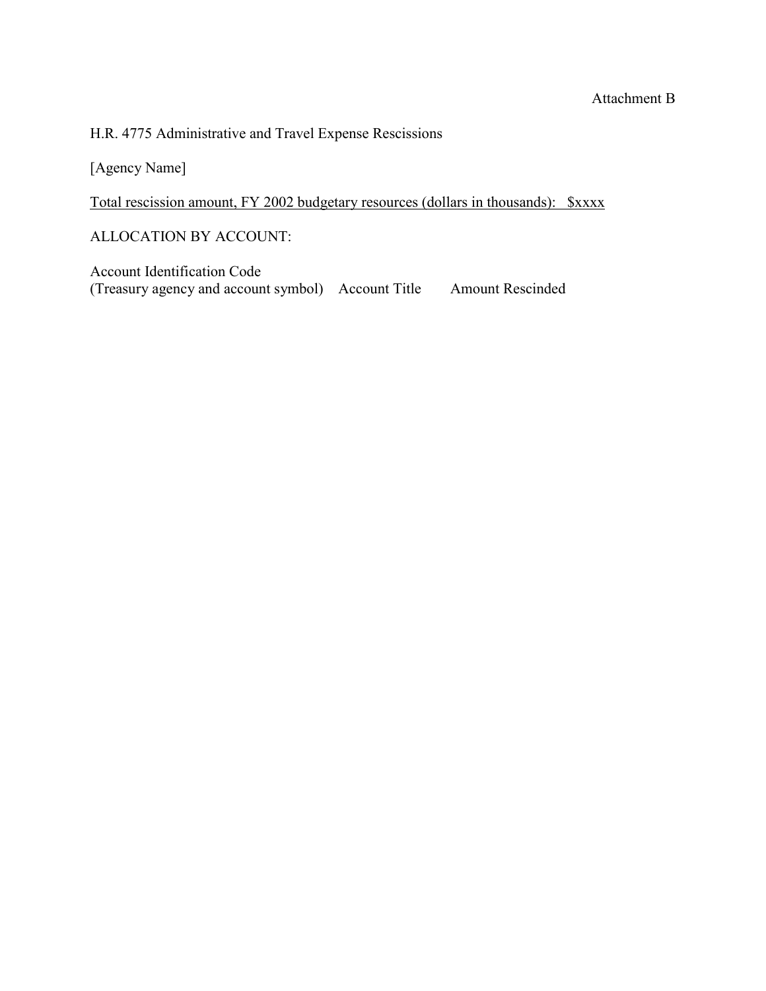# H.R. 4775 Administrative and Travel Expense Rescissions

[Agency Name]

Total rescission amount, FY 2002 budgetary resources (dollars in thousands): \$xxxx

ALLOCATION BY ACCOUNT:

Account Identification Code (Treasury agency and account symbol) Account Title Amount Rescinded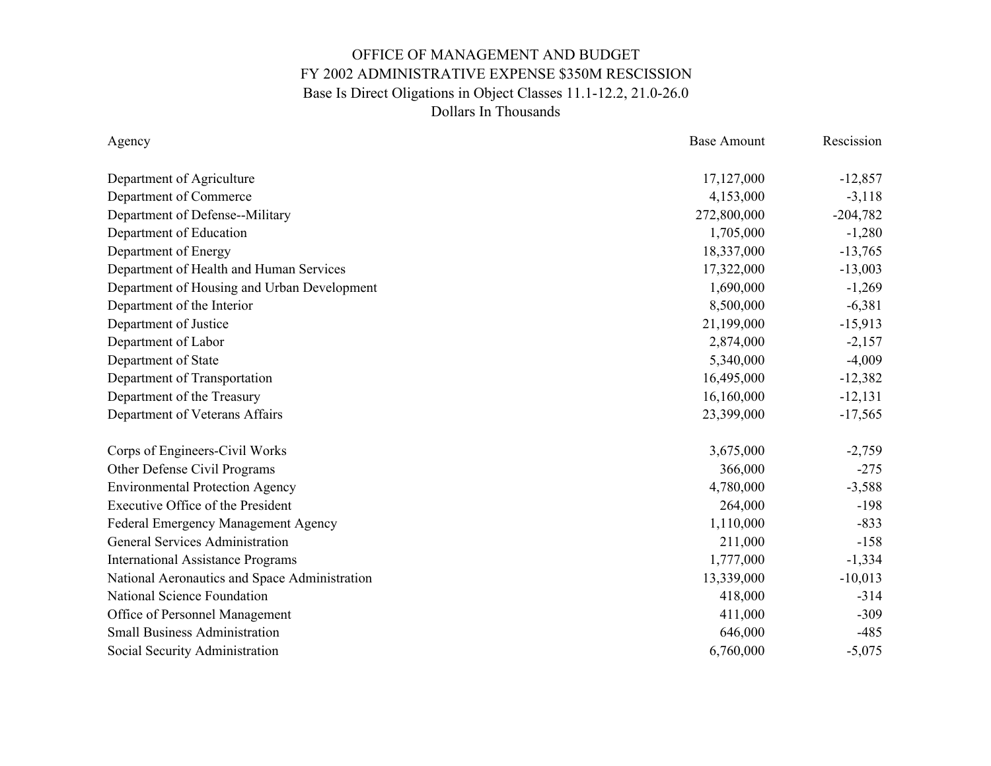| Agency                                        | <b>Base Amount</b> | Rescission |
|-----------------------------------------------|--------------------|------------|
| Department of Agriculture                     | 17,127,000         | $-12,857$  |
| Department of Commerce                        | 4,153,000          | $-3,118$   |
| Department of Defense--Military               | 272,800,000        | $-204,782$ |
| Department of Education                       | 1,705,000          | $-1,280$   |
| Department of Energy                          | 18,337,000         | $-13,765$  |
| Department of Health and Human Services       | 17,322,000         | $-13,003$  |
| Department of Housing and Urban Development   | 1,690,000          | $-1,269$   |
| Department of the Interior                    | 8,500,000          | $-6,381$   |
| Department of Justice                         | 21,199,000         | $-15,913$  |
|                                               |                    |            |
| Department of Labor                           | 2,874,000          | $-2,157$   |
| Department of State                           | 5,340,000          | $-4,009$   |
| Department of Transportation                  | 16,495,000         | $-12,382$  |
| Department of the Treasury                    | 16,160,000         | $-12,131$  |
| Department of Veterans Affairs                | 23,399,000         | $-17,565$  |
| Corps of Engineers-Civil Works                | 3,675,000          | $-2,759$   |
| Other Defense Civil Programs                  | 366,000            | $-275$     |
| <b>Environmental Protection Agency</b>        | 4,780,000          | $-3,588$   |
| <b>Executive Office of the President</b>      | 264,000            | $-198$     |
| Federal Emergency Management Agency           | 1,110,000          | $-833$     |
| <b>General Services Administration</b>        | 211,000            | $-158$     |
| <b>International Assistance Programs</b>      | 1,777,000          | $-1,334$   |
| National Aeronautics and Space Administration | 13,339,000         | $-10,013$  |
| National Science Foundation                   | 418,000            | $-314$     |
| Office of Personnel Management                | 411,000            | $-309$     |
| <b>Small Business Administration</b>          | 646,000            | $-485$     |
| Social Security Administration                | 6,760,000          | $-5,075$   |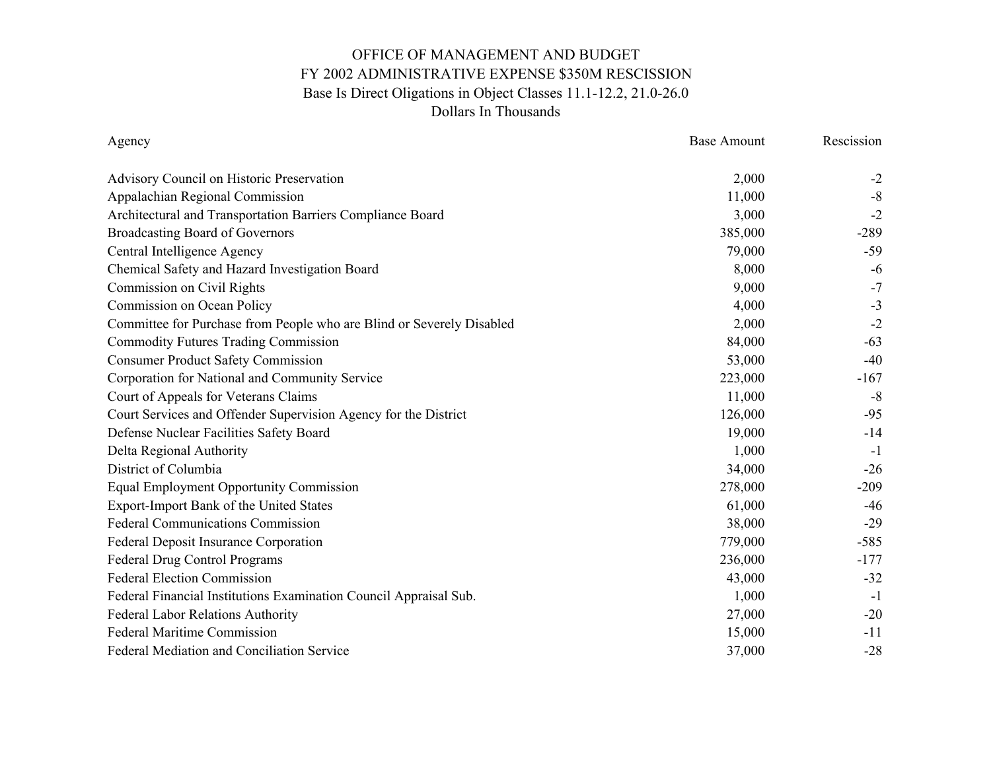| Agency                                                                | <b>Base Amount</b> | Rescission |
|-----------------------------------------------------------------------|--------------------|------------|
| Advisory Council on Historic Preservation                             | 2,000              | $-2$       |
| Appalachian Regional Commission                                       | 11,000             | $-8$       |
| Architectural and Transportation Barriers Compliance Board            | 3,000              | $-2$       |
| <b>Broadcasting Board of Governors</b>                                | 385,000            | $-289$     |
| Central Intelligence Agency                                           | 79,000             | $-59$      |
| Chemical Safety and Hazard Investigation Board                        | 8,000              | $-6$       |
| Commission on Civil Rights                                            | 9,000              | $-7$       |
| Commission on Ocean Policy                                            | 4,000              | $-3$       |
| Committee for Purchase from People who are Blind or Severely Disabled | 2,000              | $-2$       |
| <b>Commodity Futures Trading Commission</b>                           | 84,000             | $-63$      |
| <b>Consumer Product Safety Commission</b>                             | 53,000             | $-40$      |
| Corporation for National and Community Service                        | 223,000            | $-167$     |
| Court of Appeals for Veterans Claims                                  | 11,000             | $-8$       |
| Court Services and Offender Supervision Agency for the District       | 126,000            | $-95$      |
| Defense Nuclear Facilities Safety Board                               | 19,000             | $-14$      |
| Delta Regional Authority                                              | 1,000              | $-1$       |
| District of Columbia                                                  | 34,000             | $-26$      |
| <b>Equal Employment Opportunity Commission</b>                        | 278,000            | $-209$     |
| Export-Import Bank of the United States                               | 61,000             | -46        |
| <b>Federal Communications Commission</b>                              | 38,000             | $-29$      |
| Federal Deposit Insurance Corporation                                 | 779,000            | $-585$     |
| Federal Drug Control Programs                                         | 236,000            | $-177$     |
| <b>Federal Election Commission</b>                                    | 43,000             | $-32$      |
| Federal Financial Institutions Examination Council Appraisal Sub.     | 1,000              | $-1$       |
| Federal Labor Relations Authority                                     | 27,000             | $-20$      |
| <b>Federal Maritime Commission</b>                                    | 15,000             | $-11$      |
| Federal Mediation and Conciliation Service                            | 37,000             | $-28$      |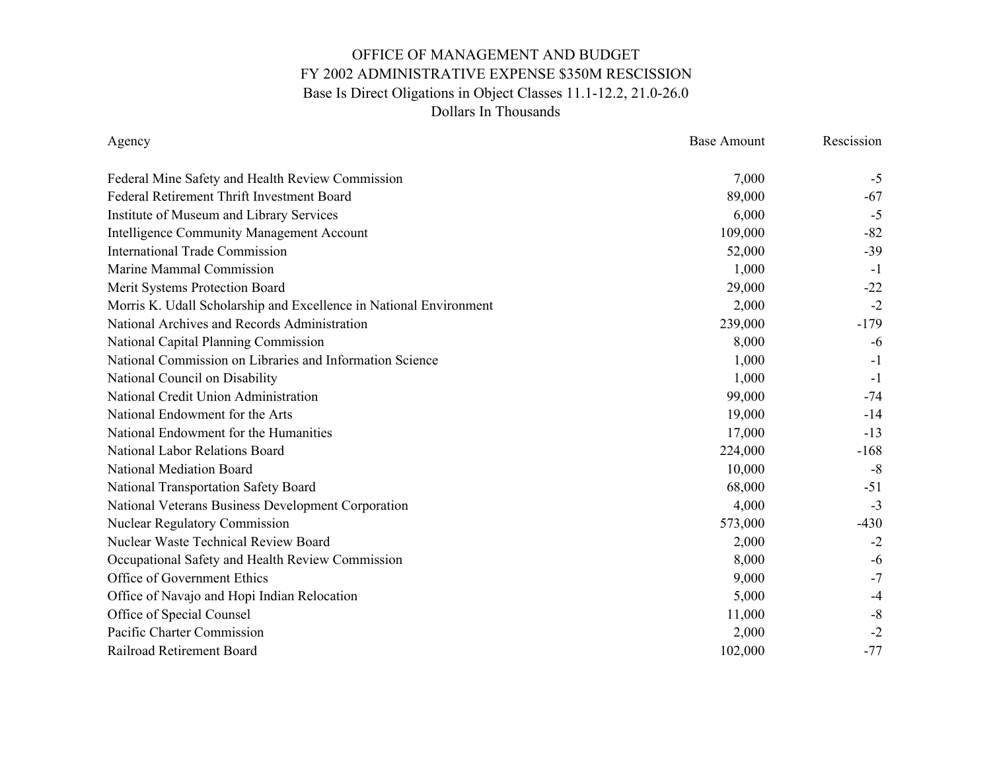| Agency                                                             | <b>Base Amount</b> | Rescission |
|--------------------------------------------------------------------|--------------------|------------|
| Federal Mine Safety and Health Review Commission                   | 7,000              | $-5$       |
| Federal Retirement Thrift Investment Board                         | 89,000             | -67        |
| Institute of Museum and Library Services                           | 6,000              | $-5$       |
| <b>Intelligence Community Management Account</b>                   | 109,000            | $-82$      |
| <b>International Trade Commission</b>                              | 52,000             | $-39$      |
| Marine Mammal Commission                                           | 1,000              | $-1$       |
| Merit Systems Protection Board                                     | 29,000             | $-22$      |
| Morris K. Udall Scholarship and Excellence in National Environment | 2,000              | $-2$       |
| National Archives and Records Administration                       | 239,000            | $-179$     |
| National Capital Planning Commission                               | 8,000              | $-6$       |
| National Commission on Libraries and Information Science           | 1,000              | $-1$       |
| National Council on Disability                                     | 1,000              | $-1$       |
| National Credit Union Administration                               | 99,000             | $-74$      |
| National Endowment for the Arts                                    | 19,000             | $-14$      |
| National Endowment for the Humanities                              | 17,000             | $-13$      |
| National Labor Relations Board                                     | 224,000            | $-168$     |
| <b>National Mediation Board</b>                                    | 10,000             | $-8$       |
| National Transportation Safety Board                               | 68,000             | $-51$      |
| National Veterans Business Development Corporation                 | 4,000              | $-3$       |
| <b>Nuclear Regulatory Commission</b>                               | 573,000            | $-430$     |
| <b>Nuclear Waste Technical Review Board</b>                        | 2,000              | $-2$       |
| Occupational Safety and Health Review Commission                   | 8,000              | $-6$       |
| Office of Government Ethics                                        | 9,000              | $-7$       |
| Office of Navajo and Hopi Indian Relocation                        | 5,000              | $-4$       |
| Office of Special Counsel                                          | 11,000             | $-8$       |
| Pacific Charter Commission                                         | 2,000              | $-2$       |
| Railroad Retirement Board                                          | 102,000            | $-77$      |